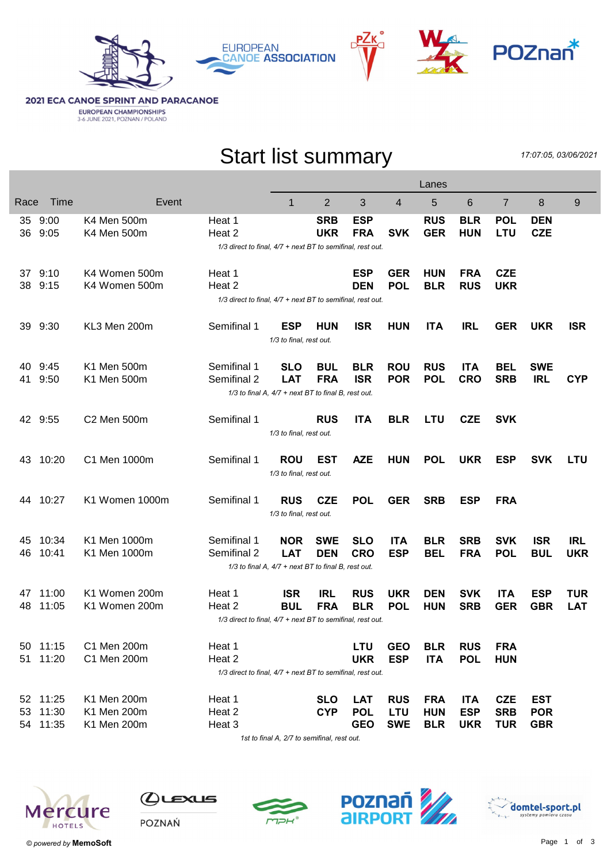



**2021 ECA CANOE SPRINT AND PARACANOE EUROPEAN CHAMPIONSHIPS**<br>3-6 JUNE 2021, POZNAN / POLAND

## Start list summary

17:07:05, 03/06/2021

|                                                     |                                                            |                |                                                            |                                                     |                |            |            | Lanes      |            |                |            |            |
|-----------------------------------------------------|------------------------------------------------------------|----------------|------------------------------------------------------------|-----------------------------------------------------|----------------|------------|------------|------------|------------|----------------|------------|------------|
| Race                                                | Time                                                       | Event          |                                                            | 1                                                   | $\overline{2}$ | 3          | 4          | 5          | 6          | $\overline{7}$ | 8          | 9          |
|                                                     | 35 9:00                                                    | K4 Men 500m    | Heat 1                                                     |                                                     | <b>SRB</b>     | <b>ESP</b> |            | <b>RUS</b> | <b>BLR</b> | <b>POL</b>     | <b>DEN</b> |            |
|                                                     | 36 9:05                                                    | K4 Men 500m    | Heat 2                                                     |                                                     | <b>UKR</b>     | <b>FRA</b> | <b>SVK</b> | <b>GER</b> | <b>HUN</b> | <b>LTU</b>     | <b>CZE</b> |            |
|                                                     | 1/3 direct to final, 4/7 + next BT to semifinal, rest out. |                |                                                            |                                                     |                |            |            |            |            |                |            |            |
|                                                     |                                                            |                |                                                            |                                                     |                |            |            |            |            |                |            |            |
|                                                     | 37 9:10                                                    | K4 Women 500m  | Heat 1                                                     |                                                     |                | <b>ESP</b> | <b>GER</b> | <b>HUN</b> | <b>FRA</b> | <b>CZE</b>     |            |            |
|                                                     | 38 9:15                                                    | K4 Women 500m  | Heat 2                                                     |                                                     |                | <b>DEN</b> | <b>POL</b> | <b>BLR</b> | <b>RUS</b> | <b>UKR</b>     |            |            |
|                                                     | 1/3 direct to final, 4/7 + next BT to semifinal, rest out. |                |                                                            |                                                     |                |            |            |            |            |                |            |            |
| 39                                                  | 9:30                                                       | KL3 Men 200m   | Semifinal 1                                                | <b>ESP</b>                                          | <b>HUN</b>     | <b>ISR</b> | <b>HUN</b> | <b>ITA</b> | <b>IRL</b> | <b>GER</b>     | <b>UKR</b> | <b>ISR</b> |
|                                                     |                                                            |                |                                                            | 1/3 to final, rest out.                             |                |            |            |            |            |                |            |            |
|                                                     |                                                            |                |                                                            |                                                     |                |            |            |            |            |                |            |            |
| 40                                                  | 9:45                                                       | K1 Men 500m    | Semifinal 1                                                | <b>SLO</b>                                          | <b>BUL</b>     | <b>BLR</b> | <b>ROU</b> | <b>RUS</b> | <b>ITA</b> | <b>BEL</b>     | <b>SWE</b> |            |
| 41                                                  | 9:50                                                       | K1 Men 500m    | Semifinal 2                                                | <b>LAT</b>                                          | <b>FRA</b>     | <b>ISR</b> | <b>POR</b> | <b>POL</b> | <b>CRO</b> | <b>SRB</b>     | <b>IRL</b> | <b>CYP</b> |
| 1/3 to final A, 4/7 + next BT to final B, rest out. |                                                            |                |                                                            |                                                     |                |            |            |            |            |                |            |            |
|                                                     |                                                            |                |                                                            |                                                     |                |            |            |            |            |                |            |            |
|                                                     | 42 9:55                                                    | C2 Men 500m    | Semifinal 1                                                |                                                     | <b>RUS</b>     | <b>ITA</b> | <b>BLR</b> | <b>LTU</b> | <b>CZE</b> | <b>SVK</b>     |            |            |
|                                                     |                                                            |                |                                                            | 1/3 to final, rest out.                             |                |            |            |            |            |                |            |            |
| 43                                                  | 10:20                                                      | C1 Men 1000m   | Semifinal 1                                                | <b>ROU</b>                                          | EST            | <b>AZE</b> | <b>HUN</b> | <b>POL</b> | <b>UKR</b> | <b>ESP</b>     | <b>SVK</b> | <b>LTU</b> |
|                                                     |                                                            |                |                                                            | 1/3 to final, rest out.                             |                |            |            |            |            |                |            |            |
|                                                     |                                                            |                |                                                            |                                                     |                |            |            |            |            |                |            |            |
|                                                     | 44 10:27                                                   | K1 Women 1000m | Semifinal 1                                                | <b>RUS</b>                                          | <b>CZE</b>     | <b>POL</b> | <b>GER</b> | <b>SRB</b> | <b>ESP</b> | <b>FRA</b>     |            |            |
|                                                     |                                                            |                |                                                            | 1/3 to final, rest out.                             |                |            |            |            |            |                |            |            |
|                                                     |                                                            |                |                                                            |                                                     |                |            |            |            |            |                |            |            |
| 45                                                  | 10:34                                                      | K1 Men 1000m   | Semifinal 1                                                | <b>NOR</b>                                          | <b>SWE</b>     | <b>SLO</b> | <b>ITA</b> | <b>BLR</b> | <b>SRB</b> | <b>SVK</b>     | <b>ISR</b> | <b>IRL</b> |
| 46                                                  | 10:41                                                      | K1 Men 1000m   | Semifinal 2                                                | <b>LAT</b>                                          | <b>DEN</b>     | <b>CRO</b> | <b>ESP</b> | <b>BEL</b> | <b>FRA</b> | <b>POL</b>     | <b>BUL</b> | <b>UKR</b> |
|                                                     |                                                            |                |                                                            | 1/3 to final A, 4/7 + next BT to final B, rest out. |                |            |            |            |            |                |            |            |
|                                                     |                                                            |                |                                                            |                                                     |                |            |            |            |            |                |            |            |
| 47                                                  | 11:00                                                      | K1 Women 200m  | Heat 1                                                     | <b>ISR</b>                                          | <b>IRL</b>     | <b>RUS</b> | <b>UKR</b> | <b>DEN</b> | <b>SVK</b> | <b>ITA</b>     | <b>ESP</b> | <b>TUR</b> |
| 48                                                  | 11:05                                                      | K1 Women 200m  | Heat 2                                                     | <b>BUL</b>                                          | <b>FRA</b>     | <b>BLR</b> | <b>POL</b> | <b>HUN</b> | <b>SRB</b> | <b>GER</b>     | <b>GBR</b> | <b>LAT</b> |
|                                                     | 1/3 direct to final, 4/7 + next BT to semifinal, rest out. |                |                                                            |                                                     |                |            |            |            |            |                |            |            |
|                                                     | 50 11:15                                                   | C1 Men 200m    | Heat 1                                                     |                                                     |                | <b>LTU</b> | <b>GEO</b> | <b>BLR</b> | <b>RUS</b> | <b>FRA</b>     |            |            |
|                                                     | 51 11:20                                                   | C1 Men 200m    | Heat 2                                                     |                                                     |                | <b>UKR</b> | <b>ESP</b> | <b>ITA</b> | <b>POL</b> | <b>HUN</b>     |            |            |
|                                                     |                                                            |                | 1/3 direct to final, 4/7 + next BT to semifinal, rest out. |                                                     |                |            |            |            |            |                |            |            |
|                                                     |                                                            |                |                                                            |                                                     |                |            |            |            |            |                |            |            |
|                                                     | 52 11:25                                                   | K1 Men 200m    | Heat 1                                                     |                                                     | <b>SLO</b>     | <b>LAT</b> | <b>RUS</b> | <b>FRA</b> | <b>ITA</b> | <b>CZE</b>     | <b>EST</b> |            |
|                                                     | 53 11:30                                                   | K1 Men 200m    | Heat 2                                                     |                                                     | <b>CYP</b>     | <b>POL</b> | <b>LTU</b> | <b>HUN</b> | <b>ESP</b> | <b>SRB</b>     | <b>POR</b> |            |
|                                                     | 54 11:35                                                   | K1 Men 200m    | Heat 3                                                     |                                                     |                | <b>GEO</b> | <b>SWE</b> | <b>BLR</b> | <b>UKR</b> | <b>TUR</b>     | <b>GBR</b> |            |
|                                                     |                                                            |                |                                                            |                                                     |                |            |            |            |            |                |            |            |

1st to final A, 2/7 to semifinal, rest out.



 $Q$ ட $\epsilon$ хиs





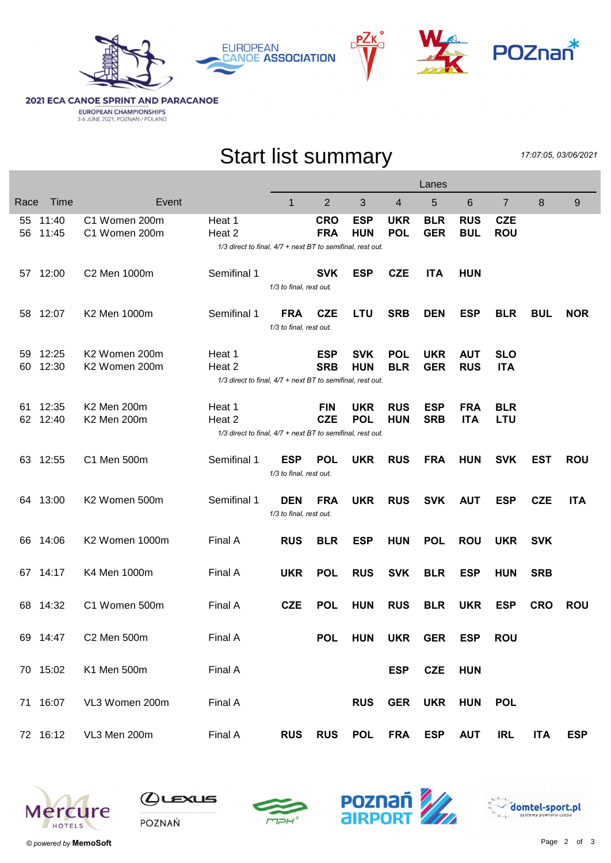



**2021 ECA CANOE SPRINT AND PARACANOE EUROPEAN CHAMPIONSHIPS**<br>3-6 JUNE 2021, POZNAN / POLAND

## Start list summary

17:07:05, 03/06/2021

|          |                |                                |                                                                                |                                       |                          | Lanes                    |                          |                          |                          |                          |            |            |
|----------|----------------|--------------------------------|--------------------------------------------------------------------------------|---------------------------------------|--------------------------|--------------------------|--------------------------|--------------------------|--------------------------|--------------------------|------------|------------|
| Race     | Time           | Event                          |                                                                                | $\mathbf 1$                           | $\overline{2}$           | 3                        | 4                        | 5                        | 6                        | $\overline{7}$           | 8          | 9          |
| 55<br>56 | 11:40<br>11:45 | C1 Women 200m<br>C1 Women 200m | Heat 1<br>Heat 2<br>1/3 direct to final, 4/7 + next BT to semifinal, rest out. |                                       | <b>CRO</b><br><b>FRA</b> | <b>ESP</b><br><b>HUN</b> | <b>UKR</b><br><b>POL</b> | <b>BLR</b><br><b>GER</b> | <b>RUS</b><br><b>BUL</b> | <b>CZE</b><br><b>ROU</b> |            |            |
| 57       | 12:00          | C2 Men 1000m                   | Semifinal 1                                                                    | 1/3 to final, rest out.               | <b>SVK</b>               | <b>ESP</b>               | <b>CZE</b>               | <b>ITA</b>               | <b>HUN</b>               |                          |            |            |
| 58       | 12:07          | K2 Men 1000m                   | Semifinal 1                                                                    | <b>FRA</b><br>1/3 to final, rest out. | <b>CZE</b>               | <b>LTU</b>               | <b>SRB</b>               | <b>DEN</b>               | <b>ESP</b>               | <b>BLR</b>               | <b>BUL</b> | <b>NOR</b> |
| 59<br>60 | 12:25<br>12:30 | K2 Women 200m<br>K2 Women 200m | Heat 1<br>Heat 2<br>1/3 direct to final, 4/7 + next BT to semifinal, rest out. |                                       | <b>ESP</b><br><b>SRB</b> | <b>SVK</b><br><b>HUN</b> | <b>POL</b><br><b>BLR</b> | <b>UKR</b><br><b>GER</b> | <b>AUT</b><br><b>RUS</b> | <b>SLO</b><br><b>ITA</b> |            |            |
| 61<br>62 | 12:35<br>12:40 | K2 Men 200m<br>K2 Men 200m     | Heat 1<br>Heat 2<br>1/3 direct to final, 4/7 + next BT to semifinal, rest out. |                                       | <b>FIN</b><br><b>CZE</b> | <b>UKR</b><br><b>POL</b> | <b>RUS</b><br><b>HUN</b> | <b>ESP</b><br><b>SRB</b> | <b>FRA</b><br><b>ITA</b> | <b>BLR</b><br><b>LTU</b> |            |            |
| 63       | 12:55          | C1 Men 500m                    | Semifinal 1                                                                    | <b>ESP</b><br>1/3 to final, rest out. | <b>POL</b>               | <b>UKR</b>               | <b>RUS</b>               | <b>FRA</b>               | <b>HUN</b>               | <b>SVK</b>               | <b>EST</b> | <b>ROU</b> |
| 64       | 13:00          | K2 Women 500m                  | Semifinal 1                                                                    | <b>DEN</b><br>1/3 to final, rest out. | <b>FRA</b>               | <b>UKR</b>               | <b>RUS</b>               | <b>SVK</b>               | <b>AUT</b>               | <b>ESP</b>               | <b>CZE</b> | <b>ITA</b> |
| 66       | 14:06          | K2 Women 1000m                 | Final A                                                                        | <b>RUS</b>                            | <b>BLR</b>               | <b>ESP</b>               | <b>HUN</b>               | <b>POL</b>               | <b>ROU</b>               | <b>UKR</b>               | <b>SVK</b> |            |
| 67.      | 14:17          | K4 Men 1000m                   | Final A                                                                        | <b>UKR</b>                            | <b>POL</b>               | <b>RUS</b>               | <b>SVK</b>               | <b>BLR</b>               | <b>ESP</b>               | <b>HUN</b>               | <b>SRB</b> |            |
| 68       | 14:32          | C1 Women 500m                  | Final A                                                                        | <b>CZE</b>                            | <b>POL</b>               | <b>HUN</b>               | <b>RUS</b>               | <b>BLR</b>               | <b>UKR</b>               | <b>ESP</b>               | <b>CRO</b> | <b>ROU</b> |
|          | 69 14:47       | C2 Men 500m                    | Final A                                                                        |                                       | <b>POL</b>               |                          |                          | HUN UKR GER ESP          |                          | <b>ROU</b>               |            |            |
|          | 70 15:02       | K1 Men 500m                    | Final A                                                                        |                                       |                          |                          | <b>ESP</b>               | CZE HUN                  |                          |                          |            |            |
|          | 71 16:07       | VL3 Women 200m                 | Final A                                                                        |                                       |                          | <b>RUS</b>               | <b>GER</b>               | <b>UKR</b>               | <b>HUN</b>               | <b>POL</b>               |            |            |
|          | 72 16:12       | VL3 Men 200m                   | Final A                                                                        | <b>RUS</b>                            | <b>RUS</b>               | <b>POL</b>               | <b>FRA</b>               | ESP                      | <b>AUT</b>               | <b>IRL</b>               | <b>ITA</b> | <b>ESP</b> |